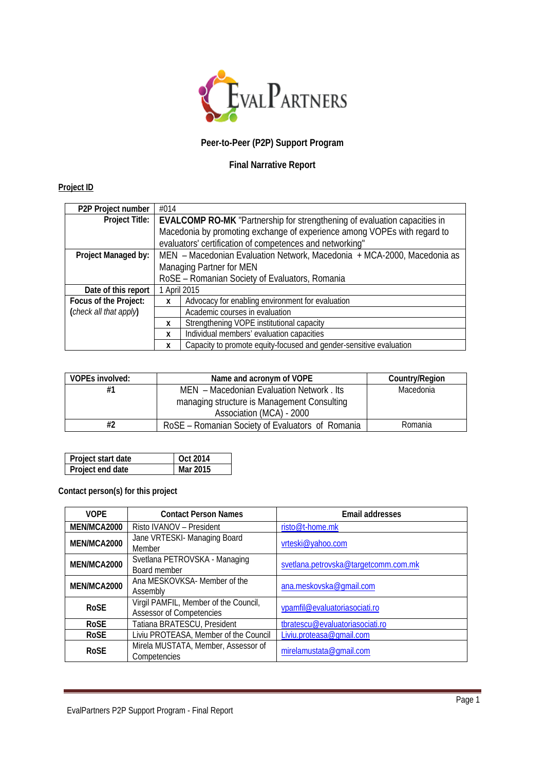

# **Peer-to-Peer (P2P) Support Program**

## **Final Narrative Report**

## **Project ID**

| P2P Project number     | #014                                                                                       |                                                                          |  |  |  |  |
|------------------------|--------------------------------------------------------------------------------------------|--------------------------------------------------------------------------|--|--|--|--|
|                        | Project Title:   EVALCOMP RO-MK "Partnership for strengthening of evaluation capacities in |                                                                          |  |  |  |  |
|                        |                                                                                            | Macedonia by promoting exchange of experience among VOPEs with regard to |  |  |  |  |
|                        |                                                                                            | evaluators' certification of competences and networking"                 |  |  |  |  |
| Project Managed by:    | MEN - Macedonian Evaluation Network, Macedonia + MCA-2000, Macedonia as                    |                                                                          |  |  |  |  |
|                        | Managing Partner for MEN                                                                   |                                                                          |  |  |  |  |
|                        | RoSE - Romanian Society of Evaluators, Romania                                             |                                                                          |  |  |  |  |
| Date of this report    | 1 April 2015                                                                               |                                                                          |  |  |  |  |
| Focus of the Project:  | X                                                                                          | Advocacy for enabling environment for evaluation                         |  |  |  |  |
| (check all that apply) |                                                                                            | Academic courses in evaluation                                           |  |  |  |  |
|                        | X                                                                                          | Strengthening VOPE institutional capacity                                |  |  |  |  |
|                        | X                                                                                          | Individual members' evaluation capacities                                |  |  |  |  |
|                        | X                                                                                          | Capacity to promote equity-focused and gender-sensitive evaluation       |  |  |  |  |

| VOPEs involved: | Name and acronym of VOPE                         | Country/Region |
|-----------------|--------------------------------------------------|----------------|
| #1              | MEN – Macedonian Evaluation Network, Its         | Macedonia      |
|                 | managing structure is Management Consulting      |                |
|                 | Association (MCA) - 2000                         |                |
| #2              | RoSE – Romanian Society of Evaluators of Romania | Romania        |

| Project start date | $\sqrt{$ Oct 2014 |
|--------------------|-------------------|
| Project end date   | Mar 2015          |

**Contact person(s) for this project**

| <b>VOPE</b> | <b>Contact Person Names</b>                                       | Email addresses                      |  |
|-------------|-------------------------------------------------------------------|--------------------------------------|--|
| MEN/MCA2000 | Risto IVANOV - President                                          | risto@t-home.mk                      |  |
| MEN/MCA2000 | Jane VRTESKI- Managing Board<br>Member                            | vrteski@yahoo.com                    |  |
| MEN/MCA2000 | Svetlana PETROVSKA - Managing<br>Board member                     | svetlana.petrovska@targetcomm.com.mk |  |
| MEN/MCA2000 | Ana MESKOVKSA- Member of the<br>Assembly                          | ana.meskovska@qmail.com              |  |
| <b>RoSE</b> | Virgil PAMFIL, Member of the Council,<br>Assessor of Competencies | vpamfil@evaluatoriasociati.ro        |  |
| <b>RoSE</b> | Tatiana BRATESCU, President                                       | tbratescu@evaluatoriasociati.ro      |  |
| <b>RoSE</b> | Liviu PROTEASA, Member of the Council                             | Liviu.proteasa@gmail.com             |  |
| <b>RoSE</b> | Mirela MUSTATA, Member, Assessor of<br>Competencies               | mirelamustata@gmail.com              |  |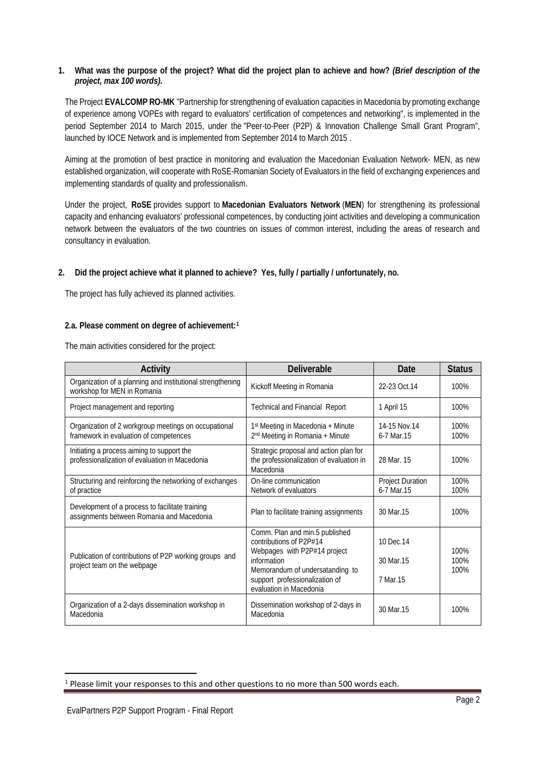## **1. What was the purpose of the project? What did the project plan to achieve and how?** *(Brief description of the project, max 100 words).*

The Project **EVALCOMP RO-MK** "Partnership for strengthening of evaluation capacities in Macedonia by promoting exchange of experience among VOPEs with regard to evaluators' certification of competences and networking", is implemented in the period September 2014 to March 2015, under the "Peer-to-Peer (P2P) & Innovation Challenge Small Grant Program", launched by IOCE Network and is implemented from September 2014 to March 2015 .

Aiming at the promotion of best practice in monitoring and evaluation the Macedonian Evaluation Network- MEN, as new established organization, will cooperate with RoSE-Romanian Society of Evaluators in the field of exchanging experiences and implementing standards of quality and professionalism.

Under the project, **RoSE** provides support to **Macedonian Evaluators Network** (**MEN**) for strengthening its professional capacity and enhancing evaluators' professional competences, by conducting joint activities and developing a communication network between the evaluators of the two countries on issues of common interest, including the areas of research and consultancy in evaluation.

## **2. Did the project achieve what it planned to achieve? Yes, fully / partially / unfortunately, no.**

The project has fully achieved its planned activities.

## **2.a. Please comment on degree of achievement:[1](#page-1-0)**

The main activities considered for the project:

| Activity                                                                                       | <b>Deliverable</b>                                                                                                                                                                                       | Date                                  | <b>Status</b>        |
|------------------------------------------------------------------------------------------------|----------------------------------------------------------------------------------------------------------------------------------------------------------------------------------------------------------|---------------------------------------|----------------------|
| Organization of a planning and institutional strengthening<br>workshop for MEN in Romania      | Kickoff Meeting in Romania                                                                                                                                                                               | 22-23 Oct.14                          | 100%                 |
| Project management and reporting                                                               | <b>Technical and Financial Report</b>                                                                                                                                                                    | 1 April 15                            | 100%                 |
| Organization of 2 workgroup meetings on occupational<br>framework in evaluation of competences | 1 <sup>st</sup> Meeting in Macedonia + Minute<br>2 <sup>nd</sup> Meeting in Romania + Minute                                                                                                             | 14-15 Nov.14<br>6-7 Mar.15            | 100%<br>100%         |
| Initiating a process aiming to support the<br>professionalization of evaluation in Macedonia   | Strategic proposal and action plan for<br>the professionalization of evaluation in<br>Macedonia                                                                                                          | 28 Mar. 15                            | 100%                 |
| Structuring and reinforcing the networking of exchanges<br>of practice                         | On-line communication<br>Network of evaluators                                                                                                                                                           | <b>Project Duration</b><br>6-7 Mar.15 | 100%<br>100%         |
| Development of a process to facilitate training<br>assignments between Romania and Macedonia   | Plan to facilitate training assignments                                                                                                                                                                  | 30 Mar.15                             | 100%                 |
| Publication of contributions of P2P working groups and<br>project team on the webpage          | Comm. Plan and min.5 published<br>contributions of P2P#14<br>Webpages with P2P#14 project<br>information<br>Memorandum of undersatanding to<br>support professionalization of<br>evaluation in Macedonia | 10 Dec.14<br>30 Mar. 15<br>7 Mar.15   | 100%<br>100%<br>100% |
| Organization of a 2-days dissemination workshop in<br>Macedonia                                | Dissemination workshop of 2-days in<br>Macedonia                                                                                                                                                         | 30 Mar. 15                            | 100%                 |

 $\overline{a}$ 

<span id="page-1-0"></span><sup>&</sup>lt;sup>1</sup> Please limit your responses to this and other questions to no more than 500 words each.